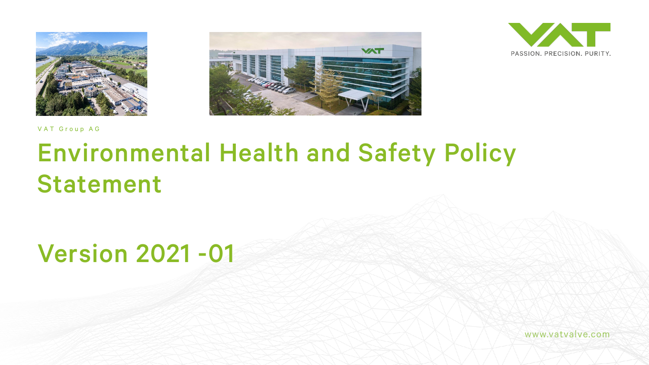





VAT Group AG

## Environmental Health and Safety Policy Statement

Version 2021 -01

www.vatvalve.com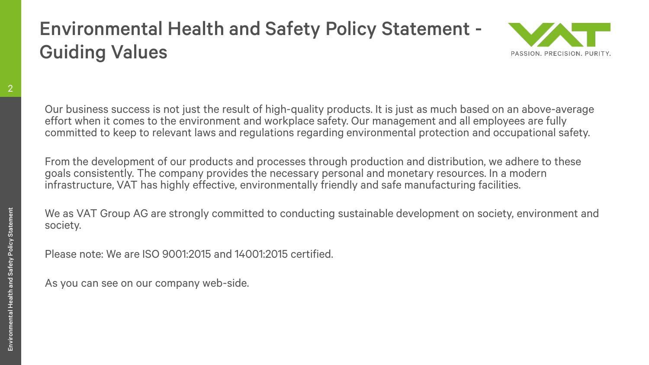## Environmental Health and Safety Policy Statement - Guiding Values



2

Our business success is not just the result of high-quality products. It is just as much based on an above-average effort when it comes to the environment and workplace safety. Our management and all employees are fully committed to keep to relevant laws and regulations regarding environmental protection and occupational safety.

From the development of our products and processes through production and distribution, we adhere to these goals consistently. The company provides the necessary personal and monetary resources. In a modern infrastructure, VAT has highly effective, environmentally friendly and safe manufacturing facilities.

We as VAT Group AG are strongly committed to conducting sustainable development on society, environment and society.

Please note: We are ISO 9001:2015 and 14001:2015 certified.

As you can see on our company web-side.